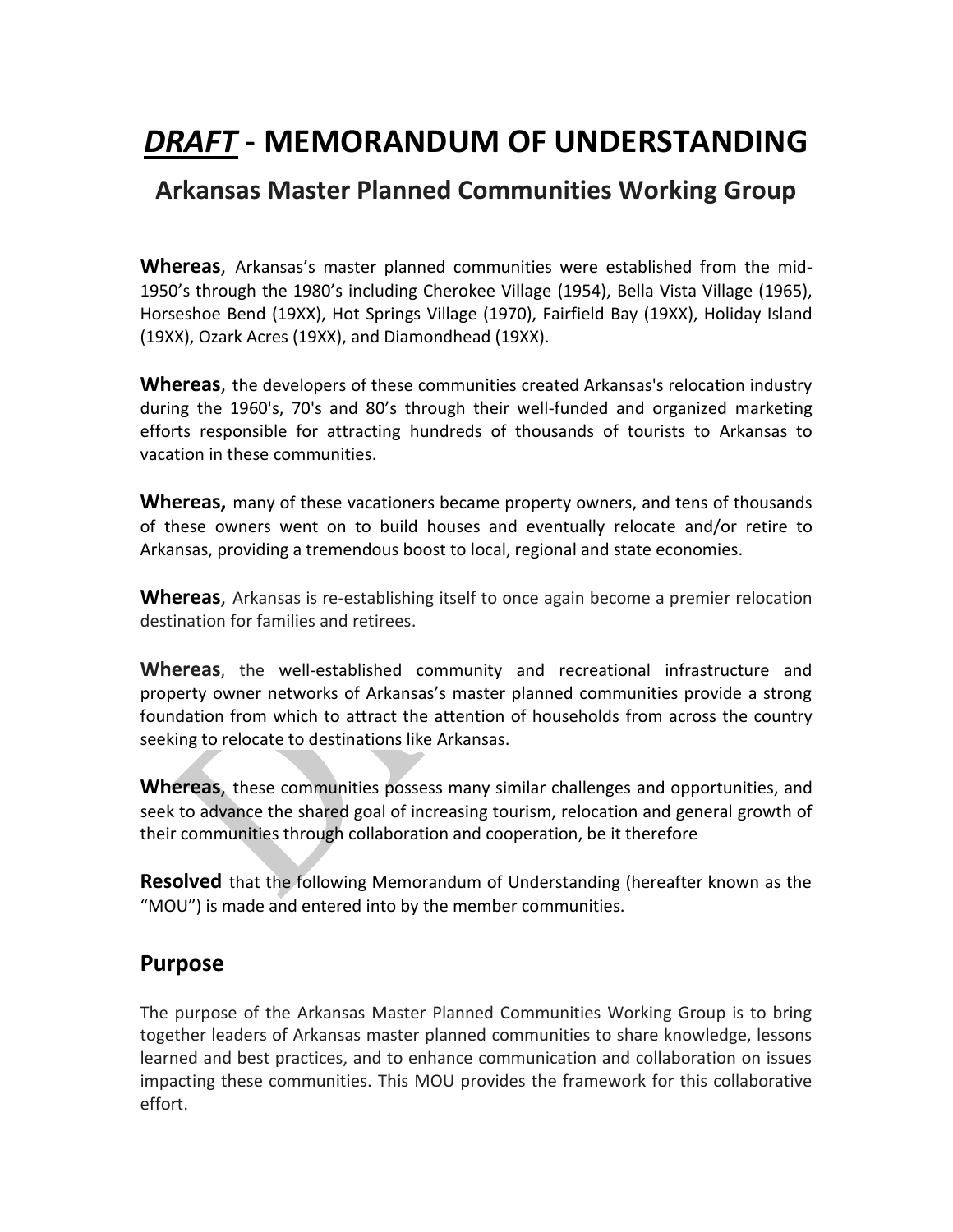# *DRAFT* **- MEMORANDUM OF UNDERSTANDING**

# **Arkansas Master Planned Communities Working Group**

**Whereas**, Arkansas's master planned communities were established from the mid-1950's through the 1980's including Cherokee Village (1954), Bella Vista Village (1965), Horseshoe Bend (19XX), Hot Springs Village (1970), Fairfield Bay (19XX), Holiday Island (19XX), Ozark Acres (19XX), and Diamondhead (19XX).

**Whereas**, the developers of these communities created Arkansas's relocation industry during the 1960's, 70's and 80's through their well-funded and organized marketing efforts responsible for attracting hundreds of thousands of tourists to Arkansas to vacation in these communities.

**Whereas,** many of these vacationers became property owners, and tens of thousands of these owners went on to build houses and eventually relocate and/or retire to Arkansas, providing a tremendous boost to local, regional and state economies.

**Whereas**, Arkansas is re-establishing itself to once again become a premier relocation destination for families and retirees.

**Whereas**, the well-established community and recreational infrastructure and property owner networks of Arkansas's master planned communities provide a strong foundation from which to attract the attention of households from across the country seeking to relocate to destinations like Arkansas.

**Whereas**, these communities possess many similar challenges and opportunities, and seek to advance the shared goal of increasing tourism, relocation and general growth of their communities through collaboration and cooperation, be it therefore

**Resolved** that the following Memorandum of Understanding (hereafter known as the "MOU") is made and entered into by the member communities.

#### **Purpose**

The purpose of the Arkansas Master Planned Communities Working Group is to bring together leaders of Arkansas master planned communities to share knowledge, lessons learned and best practices, and to enhance communication and collaboration on issues impacting these communities. This MOU provides the framework for this collaborative effort.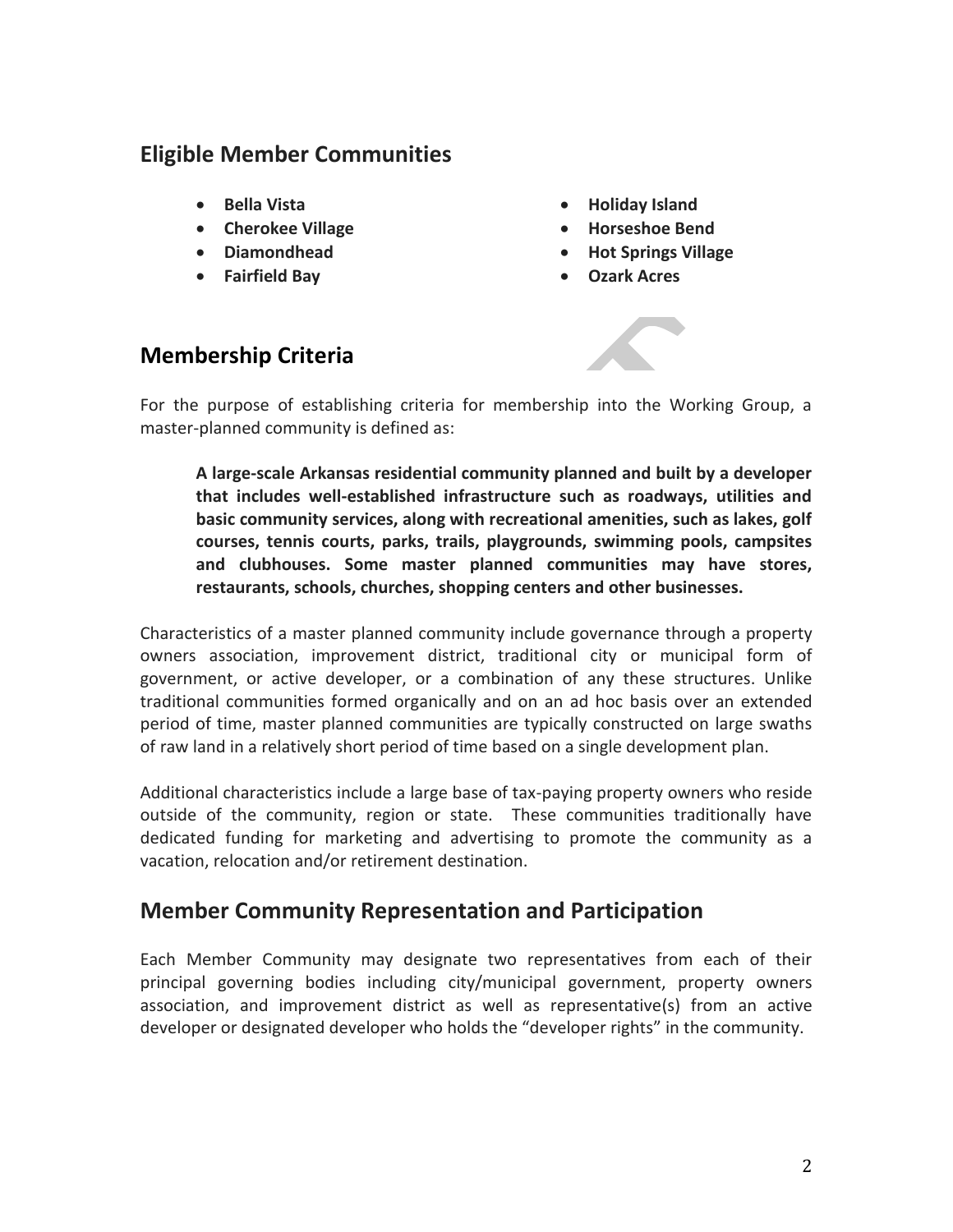### **Eligible Member Communities**

- **Bella Vista**
- **Cherokee Village**
- **Diamondhead**
- **Fairfield Bay**
- **Holiday Island**
- **Horseshoe Bend**
- **Hot Springs Village**
- **Ozark Acres**

## **Membership Criteria**



For the purpose of establishing criteria for membership into the Working Group, a master-planned community is defined as:

**A large-scale Arkansas residential community planned and built by a developer that includes well-established infrastructure such as roadways, utilities and basic community services, along with recreational amenities, such as lakes, golf courses, tennis courts, parks, trails, playgrounds, swimming pools, campsites and clubhouses. Some master planned communities may have stores, restaurants, schools, churches, shopping centers and other businesses.** 

Characteristics of a master planned community include governance through a property owners association, improvement district, traditional city or municipal form of government, or active developer, or a combination of any these structures. Unlike traditional communities formed organically and on an ad hoc basis over an extended period of time, master planned communities are typically constructed on large swaths of raw land in a relatively short period of time based on a single development plan.

Additional characteristics include a large base of tax-paying property owners who reside outside of the community, region or state. These communities traditionally have dedicated funding for marketing and advertising to promote the community as a vacation, relocation and/or retirement destination.

## **Member Community Representation and Participation**

Each Member Community may designate two representatives from each of their principal governing bodies including city/municipal government, property owners association, and improvement district as well as representative(s) from an active developer or designated developer who holds the "developer rights" in the community.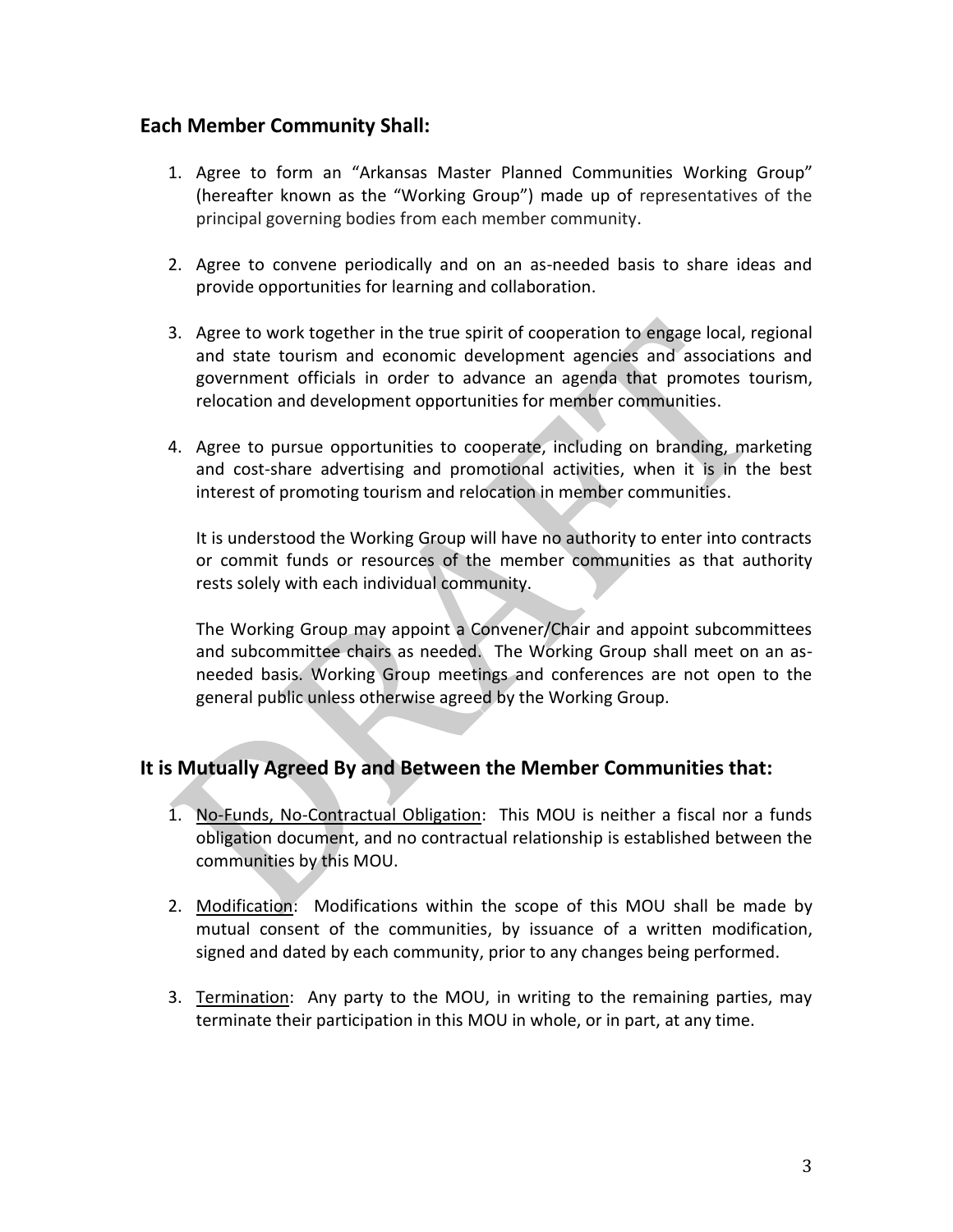#### **Each Member Community Shall:**

- 1. Agree to form an "Arkansas Master Planned Communities Working Group" (hereafter known as the "Working Group") made up of representatives of the principal governing bodies from each member community.
- 2. Agree to convene periodically and on an as-needed basis to share ideas and provide opportunities for learning and collaboration.
- 3. Agree to work together in the true spirit of cooperation to engage local, regional and state tourism and economic development agencies and associations and government officials in order to advance an agenda that promotes tourism, relocation and development opportunities for member communities.
- 4. Agree to pursue opportunities to cooperate, including on branding, marketing and cost-share advertising and promotional activities, when it is in the best interest of promoting tourism and relocation in member communities.

It is understood the Working Group will have no authority to enter into contracts or commit funds or resources of the member communities as that authority rests solely with each individual community.

The Working Group may appoint a Convener/Chair and appoint subcommittees and subcommittee chairs as needed. The Working Group shall meet on an asneeded basis. Working Group meetings and conferences are not open to the general public unless otherwise agreed by the Working Group.

#### **It is Mutually Agreed By and Between the Member Communities that:**

- 1. No-Funds, No-Contractual Obligation: This MOU is neither a fiscal nor a funds obligation document, and no contractual relationship is established between the communities by this MOU.
- 2. Modification: Modifications within the scope of this MOU shall be made by mutual consent of the communities, by issuance of a written modification, signed and dated by each community, prior to any changes being performed.
- 3. Termination: Any party to the MOU, in writing to the remaining parties, may terminate their participation in this MOU in whole, or in part, at any time.